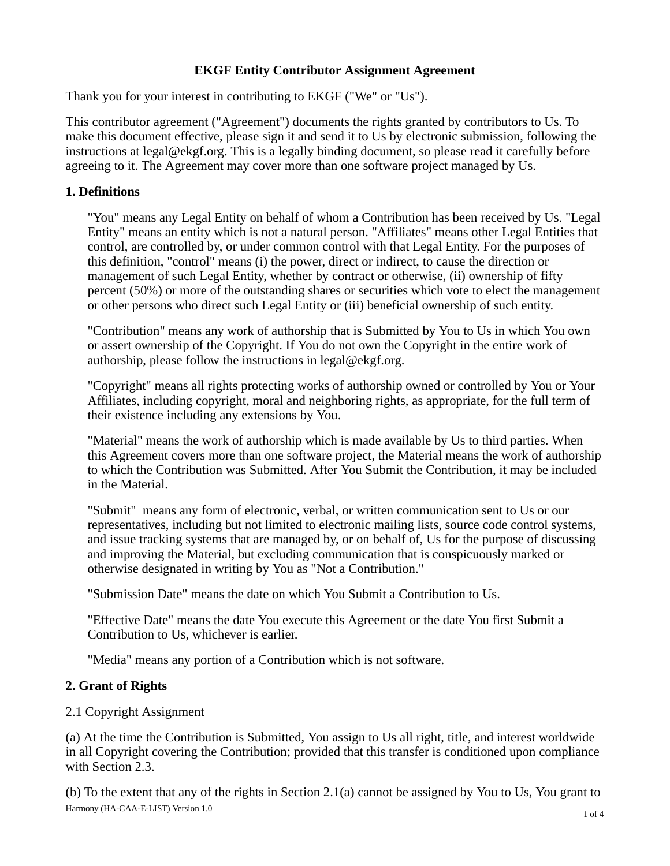# **EKGF Entity Contributor Assignment Agreement**

Thank you for your interest in contributing to EKGF ("We" or "Us").

This contributor agreement ("Agreement") documents the rights granted by contributors to Us. To make this document effective, please sign it and send it to Us by electronic submission, following the instructions at legal@ekgf.org. This is a legally binding document, so please read it carefully before agreeing to it. The Agreement may cover more than one software project managed by Us.

### **1. Definitions**

"You" means any Legal Entity on behalf of whom a Contribution has been received by Us. "Legal Entity" means an entity which is not a natural person. "Affiliates" means other Legal Entities that control, are controlled by, or under common control with that Legal Entity. For the purposes of this definition, "control" means (i) the power, direct or indirect, to cause the direction or management of such Legal Entity, whether by contract or otherwise, (ii) ownership of fifty percent (50%) or more of the outstanding shares or securities which vote to elect the management or other persons who direct such Legal Entity or (iii) beneficial ownership of such entity.

"Contribution" means any work of authorship that is Submitted by You to Us in which You own or assert ownership of the Copyright. If You do not own the Copyright in the entire work of authorship, please follow the instructions in legal@ekgf.org.

"Copyright" means all rights protecting works of authorship owned or controlled by You or Your Affiliates, including copyright, moral and neighboring rights, as appropriate, for the full term of their existence including any extensions by You.

"Material" means the work of authorship which is made available by Us to third parties. When this Agreement covers more than one software project, the Material means the work of authorship to which the Contribution was Submitted. After You Submit the Contribution, it may be included in the Material.

"Submit" means any form of electronic, verbal, or written communication sent to Us or our representatives, including but not limited to electronic mailing lists, source code control systems, and issue tracking systems that are managed by, or on behalf of, Us for the purpose of discussing and improving the Material, but excluding communication that is conspicuously marked or otherwise designated in writing by You as "Not a Contribution."

"Submission Date" means the date on which You Submit a Contribution to Us.

"Effective Date" means the date You execute this Agreement or the date You first Submit a Contribution to Us, whichever is earlier.

"Media" means any portion of a Contribution which is not software.

## **2. Grant of Rights**

## 2.1 Copyright Assignment

(a) At the time the Contribution is Submitted, You assign to Us all right, title, and interest worldwide in all Copyright covering the Contribution; provided that this transfer is conditioned upon compliance with Section 2.3.

(b) To the extent that any of the rights in Section 2.1(a) cannot be assigned by You to Us, You grant to Harmony (HA-CAA-E-LIST) Version 1.0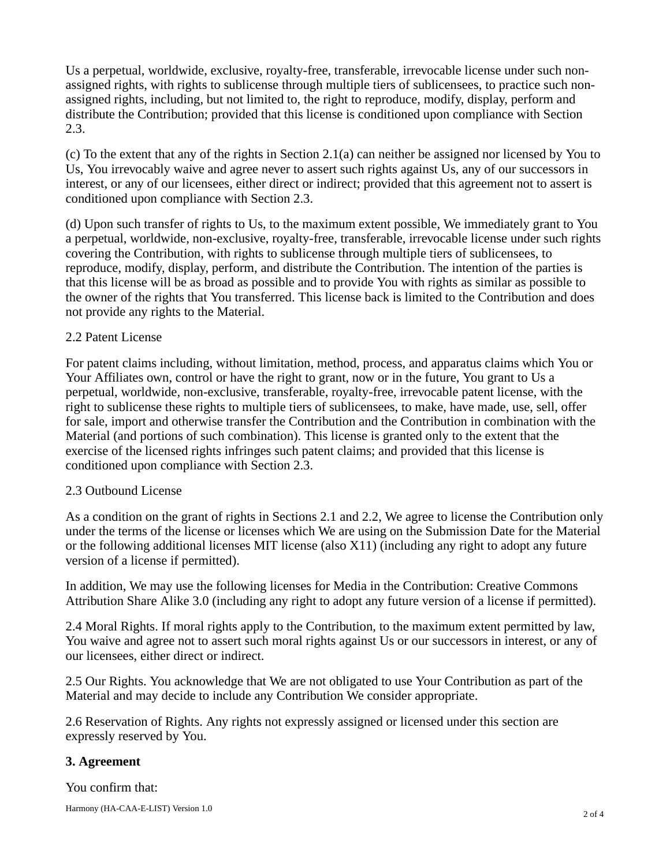Us a perpetual, worldwide, exclusive, royalty-free, transferable, irrevocable license under such nonassigned rights, with rights to sublicense through multiple tiers of sublicensees, to practice such nonassigned rights, including, but not limited to, the right to reproduce, modify, display, perform and distribute the Contribution; provided that this license is conditioned upon compliance with Section 2.3.

(c) To the extent that any of the rights in Section 2.1(a) can neither be assigned nor licensed by You to Us, You irrevocably waive and agree never to assert such rights against Us, any of our successors in interest, or any of our licensees, either direct or indirect; provided that this agreement not to assert is conditioned upon compliance with Section 2.3.

(d) Upon such transfer of rights to Us, to the maximum extent possible, We immediately grant to You a perpetual, worldwide, non-exclusive, royalty-free, transferable, irrevocable license under such rights covering the Contribution, with rights to sublicense through multiple tiers of sublicensees, to reproduce, modify, display, perform, and distribute the Contribution. The intention of the parties is that this license will be as broad as possible and to provide You with rights as similar as possible to the owner of the rights that You transferred. This license back is limited to the Contribution and does not provide any rights to the Material.

#### 2.2 Patent License

For patent claims including, without limitation, method, process, and apparatus claims which You or Your Affiliates own, control or have the right to grant, now or in the future, You grant to Us a perpetual, worldwide, non-exclusive, transferable, royalty-free, irrevocable patent license, with the right to sublicense these rights to multiple tiers of sublicensees, to make, have made, use, sell, offer for sale, import and otherwise transfer the Contribution and the Contribution in combination with the Material (and portions of such combination). This license is granted only to the extent that the exercise of the licensed rights infringes such patent claims; and provided that this license is conditioned upon compliance with Section 2.3.

#### 2.3 Outbound License

As a condition on the grant of rights in Sections 2.1 and 2.2, We agree to license the Contribution only under the terms of the license or licenses which We are using on the Submission Date for the Material or the following additional licenses MIT license (also X11) (including any right to adopt any future version of a license if permitted).

In addition, We may use the following licenses for Media in the Contribution: Creative Commons Attribution Share Alike 3.0 (including any right to adopt any future version of a license if permitted).

2.4 Moral Rights. If moral rights apply to the Contribution, to the maximum extent permitted by law, You waive and agree not to assert such moral rights against Us or our successors in interest, or any of our licensees, either direct or indirect.

2.5 Our Rights. You acknowledge that We are not obligated to use Your Contribution as part of the Material and may decide to include any Contribution We consider appropriate.

2.6 Reservation of Rights. Any rights not expressly assigned or licensed under this section are expressly reserved by You.

## **3. Agreement**

You confirm that:

Harmony (HA-CAA-E-LIST) Version 1.0 2 of 4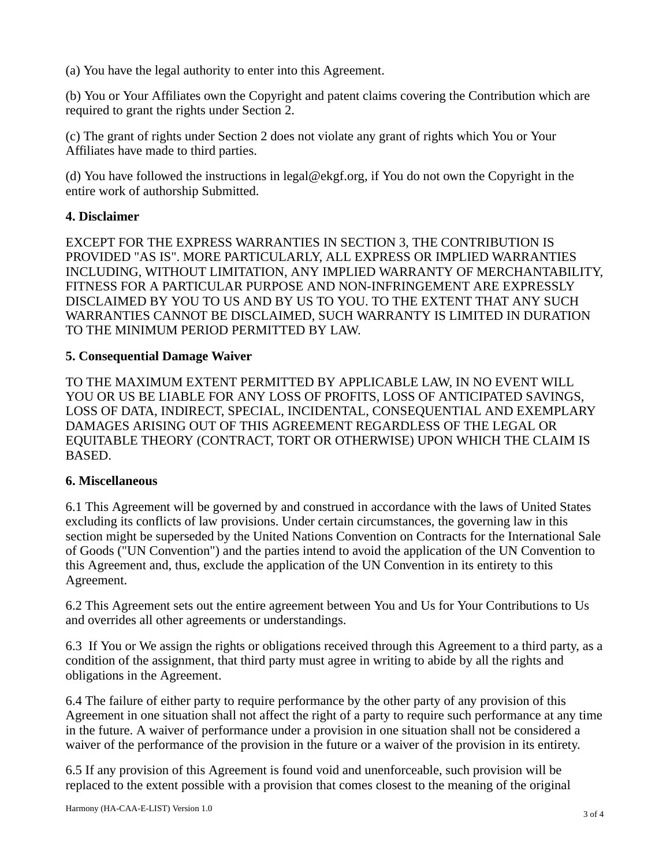(a) You have the legal authority to enter into this Agreement.

(b) You or Your Affiliates own the Copyright and patent claims covering the Contribution which are required to grant the rights under Section 2.

(c) The grant of rights under Section 2 does not violate any grant of rights which You or Your Affiliates have made to third parties.

(d) You have followed the instructions in legal@ekgf.org, if You do not own the Copyright in the entire work of authorship Submitted.

### **4. Disclaimer**

EXCEPT FOR THE EXPRESS WARRANTIES IN SECTION 3, THE CONTRIBUTION IS PROVIDED "AS IS". MORE PARTICULARLY, ALL EXPRESS OR IMPLIED WARRANTIES INCLUDING, WITHOUT LIMITATION, ANY IMPLIED WARRANTY OF MERCHANTABILITY, FITNESS FOR A PARTICULAR PURPOSE AND NON-INFRINGEMENT ARE EXPRESSLY DISCLAIMED BY YOU TO US AND BY US TO YOU. TO THE EXTENT THAT ANY SUCH WARRANTIES CANNOT BE DISCLAIMED, SUCH WARRANTY IS LIMITED IN DURATION TO THE MINIMUM PERIOD PERMITTED BY LAW.

### **5. Consequential Damage Waiver**

TO THE MAXIMUM EXTENT PERMITTED BY APPLICABLE LAW, IN NO EVENT WILL YOU OR US BE LIABLE FOR ANY LOSS OF PROFITS, LOSS OF ANTICIPATED SAVINGS, LOSS OF DATA, INDIRECT, SPECIAL, INCIDENTAL, CONSEQUENTIAL AND EXEMPLARY DAMAGES ARISING OUT OF THIS AGREEMENT REGARDLESS OF THE LEGAL OR EQUITABLE THEORY (CONTRACT, TORT OR OTHERWISE) UPON WHICH THE CLAIM IS BASED.

#### **6. Miscellaneous**

6.1 This Agreement will be governed by and construed in accordance with the laws of United States excluding its conflicts of law provisions. Under certain circumstances, the governing law in this section might be superseded by the United Nations Convention on Contracts for the International Sale of Goods ("UN Convention") and the parties intend to avoid the application of the UN Convention to this Agreement and, thus, exclude the application of the UN Convention in its entirety to this Agreement.

6.2 This Agreement sets out the entire agreement between You and Us for Your Contributions to Us and overrides all other agreements or understandings.

6.3 If You or We assign the rights or obligations received through this Agreement to a third party, as a condition of the assignment, that third party must agree in writing to abide by all the rights and obligations in the Agreement.

6.4 The failure of either party to require performance by the other party of any provision of this Agreement in one situation shall not affect the right of a party to require such performance at any time in the future. A waiver of performance under a provision in one situation shall not be considered a waiver of the performance of the provision in the future or a waiver of the provision in its entirety.

6.5 If any provision of this Agreement is found void and unenforceable, such provision will be replaced to the extent possible with a provision that comes closest to the meaning of the original